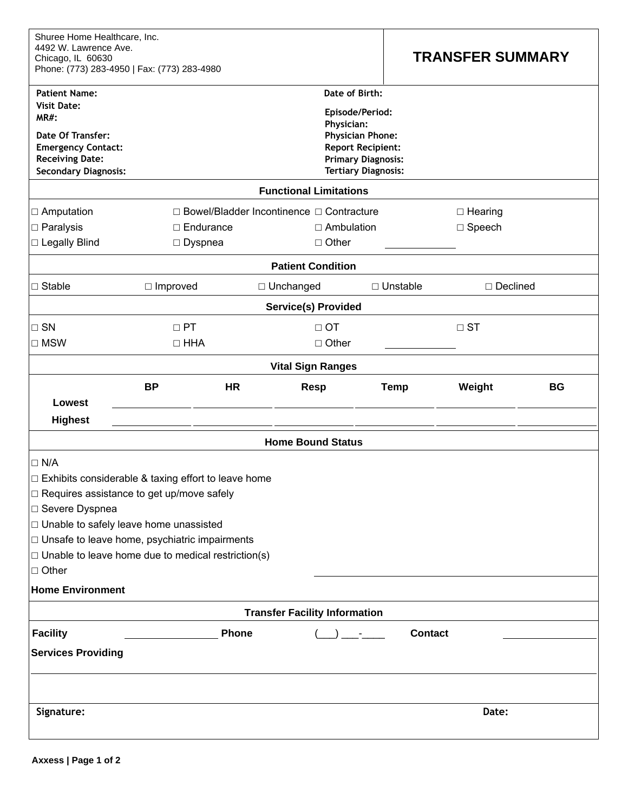| Shuree Home Healthcare, Inc.<br>4492 W. Lawrence Ave.<br>Chicago, IL 60630<br>Phone: (773) 283-4950   Fax: (773) 283-4980                    |                                                       |                                                                                                                                                        |                                      |           | <b>TRANSFER SUMMARY</b> |                 |           |  |
|----------------------------------------------------------------------------------------------------------------------------------------------|-------------------------------------------------------|--------------------------------------------------------------------------------------------------------------------------------------------------------|--------------------------------------|-----------|-------------------------|-----------------|-----------|--|
| <b>Patient Name:</b>                                                                                                                         |                                                       |                                                                                                                                                        | Date of Birth:                       |           |                         |                 |           |  |
| <b>Visit Date:</b><br><b>MR#:</b><br>Date Of Transfer:<br><b>Emergency Contact:</b><br><b>Receiving Date:</b><br><b>Secondary Diagnosis:</b> |                                                       | Episode/Period:<br><b>Physician:</b><br><b>Physician Phone:</b><br><b>Report Recipient:</b><br><b>Primary Diagnosis:</b><br><b>Tertiary Diagnosis:</b> |                                      |           |                         |                 |           |  |
|                                                                                                                                              |                                                       |                                                                                                                                                        | <b>Functional Limitations</b>        |           |                         |                 |           |  |
| $\Box$ Amputation                                                                                                                            |                                                       | □ Bowel/Bladder Incontinence □ Contracture<br>$\Box$ Hearing                                                                                           |                                      |           |                         |                 |           |  |
| $\Box$ Paralysis                                                                                                                             | $\Box$ Endurance                                      |                                                                                                                                                        | $\Box$ Ambulation                    |           |                         | $\Box$ Speech   |           |  |
| □ Legally Blind                                                                                                                              | $\Box$ Dyspnea                                        |                                                                                                                                                        | $\Box$ Other                         |           |                         |                 |           |  |
|                                                                                                                                              |                                                       |                                                                                                                                                        | <b>Patient Condition</b>             |           |                         |                 |           |  |
| $\Box$ Stable                                                                                                                                | $\Box$ Improved                                       |                                                                                                                                                        | □ Unchanged                          |           | $\Box$ Unstable         | $\Box$ Declined |           |  |
|                                                                                                                                              |                                                       |                                                                                                                                                        | <b>Service(s) Provided</b>           |           |                         |                 |           |  |
| $\square$ SN                                                                                                                                 | $\Box$ PT                                             |                                                                                                                                                        |                                      | $\Box$ OT |                         | $\Box$ ST       |           |  |
| $\square$ MSW                                                                                                                                | $\Box$ HHA                                            | $\Box$ Other                                                                                                                                           |                                      |           |                         |                 |           |  |
|                                                                                                                                              |                                                       |                                                                                                                                                        | <b>Vital Sign Ranges</b>             |           |                         |                 |           |  |
|                                                                                                                                              | <b>BP</b>                                             | <b>HR</b>                                                                                                                                              | <b>Resp</b>                          |           | <b>Temp</b>             | Weight          | <b>BG</b> |  |
| Lowest                                                                                                                                       |                                                       |                                                                                                                                                        |                                      |           |                         |                 |           |  |
| <b>Highest</b>                                                                                                                               |                                                       |                                                                                                                                                        |                                      |           |                         |                 |           |  |
| <b>Home Bound Status</b>                                                                                                                     |                                                       |                                                                                                                                                        |                                      |           |                         |                 |           |  |
| $\Box$ N/A                                                                                                                                   |                                                       |                                                                                                                                                        |                                      |           |                         |                 |           |  |
|                                                                                                                                              | □ Exhibits considerable & taxing effort to leave home |                                                                                                                                                        |                                      |           |                         |                 |           |  |
|                                                                                                                                              | □ Requires assistance to get up/move safely           |                                                                                                                                                        |                                      |           |                         |                 |           |  |
| □ Severe Dyspnea                                                                                                                             |                                                       |                                                                                                                                                        |                                      |           |                         |                 |           |  |
| $\Box$ Unable to safely leave home unassisted                                                                                                |                                                       |                                                                                                                                                        |                                      |           |                         |                 |           |  |
| $\Box$ Unsafe to leave home, psychiatric impairments<br>$\Box$ Unable to leave home due to medical restriction(s)                            |                                                       |                                                                                                                                                        |                                      |           |                         |                 |           |  |
| $\Box$ Other                                                                                                                                 |                                                       |                                                                                                                                                        |                                      |           |                         |                 |           |  |
| <b>Home Environment</b>                                                                                                                      |                                                       |                                                                                                                                                        |                                      |           |                         |                 |           |  |
|                                                                                                                                              |                                                       |                                                                                                                                                        | <b>Transfer Facility Information</b> |           |                         |                 |           |  |
| <b>Facility</b><br>Phone<br>Contact                                                                                                          |                                                       |                                                                                                                                                        |                                      |           |                         |                 |           |  |
| <b>Services Providing</b>                                                                                                                    |                                                       |                                                                                                                                                        |                                      |           |                         |                 |           |  |
|                                                                                                                                              |                                                       |                                                                                                                                                        |                                      |           |                         |                 |           |  |
| Signature:                                                                                                                                   |                                                       |                                                                                                                                                        |                                      |           |                         | Date:           |           |  |